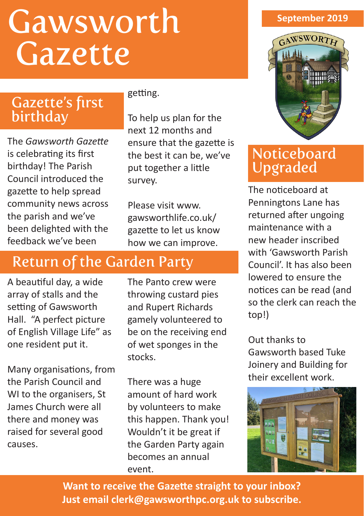# Gawsworth Gazette

### Gazette's first birthday

The *Gawsworth Gazette* is celebrating its first birthday! The Parish Council introduced the gazette to help spread community news across the parish and we've been delighted with the feedback we've been

#### getting.

To help us plan for the next 12 months and ensure that the gazette is the best it can be, we've put together a little survey.

Please visit www. gawsworthlife.co.uk/ gazette to let us know how we can improve.

## Return of the Garden Party

A beautiful day, a wide array of stalls and the setting of Gawsworth Hall. "A perfect picture of English Village Life" as one resident put it.

Many organisations, from the Parish Council and WI to the organisers, St James Church were all there and money was raised for several good causes.

The Panto crew were throwing custard pies and Rupert Richards gamely volunteered to be on the receiving end of wet sponges in the stocks.

There was a huge amount of hard work by volunteers to make this happen. Thank you! Wouldn't it be great if the Garden Party again becomes an annual event.

#### **September 2019**



#### **Noticeboard** Upgraded

The noticeboard at Penningtons Lane has returned after ungoing maintenance with a new header inscribed with 'Gawsworth Parish Council'. It has also been lowered to ensure the notices can be read (and so the clerk can reach the top!)

Out thanks to Gawsworth based Tuke Joinery and Building for their excellent work.



**Want to receive the Gazette straight to your inbox? Just email clerk@gawsworthpc.org.uk to subscribe.**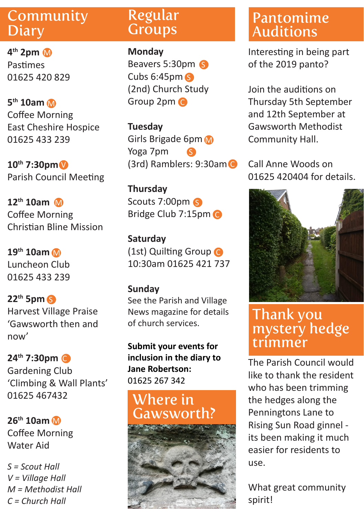#### Community **Diary**

**4th 2pm**  M Pastimes 01625 420 829

**5th 10am** M Coffee Morning East Cheshire Hospice 01625 433 239

**10th 7:30pm** V Parish Council Meeting

**12th 10am** M Coffee Morning Christian Bline Mission

**19th 10am** Luncheon Club 01625 433 239

**22th 5pm** S Harvest Village Praise 'Gawsworth then and now'

**24th 7:30pm** C Gardening Club 'Climbing & Wall Plants' 01625 467432

**26th 10am** M Coffee Morning Water Aid

*S = Scout Hall V = Village Hall M = Methodist Hall C = Church Hall* 

#### Regular **Groups**

**Monday** Beavers 5:30pm 6 Cubs 6:45pm S (2nd) Church Study Group 2pm C

**Tuesday** Girls Brigade 6pm Yoga 7pm (3rd) Ramblers: 9:30am C S

**Thursday** Scouts 7:00pm Bridge Club 7:15pm C

**Saturday M** (1st) Quilting Group **C** 10:30am 01625 421 737

#### **Sunday**

See the Parish and Village News magazine for details of church services.

**Submit your events for inclusion in the diary to Jane Robertson:**  01625 267 342

#### Where in Gawsworth?



## Pantomime Auditions

Interesting in being part of the 2019 panto?

Join the auditions on Thursday 5th September and 12th September at Gawsworth Methodist Community Hall.

Call Anne Woods on 01625 420404 for details.



#### Thank you mystery hedge trimmer

The Parish Council would like to thank the resident who has been trimming the hedges along the Penningtons Lane to Rising Sun Road ginnel its been making it much easier for residents to use.

What great community spirit!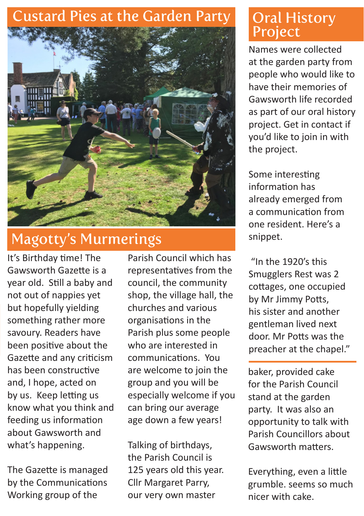## Custard Pies at the Garden Party



# Magotty's Murmerings

It's Birthday time! The Gawsworth Gazette is a year old. Still a baby and not out of nappies yet but hopefully yielding something rather more savoury. Readers have been positive about the Gazette and any criticism has been constructive and, I hope, acted on by us. Keep letting us know what you think and feeding us information about Gawsworth and what's happening.

The Gazette is managed by the Communications Working group of the

Parish Council which has representatives from the council, the community shop, the village hall, the churches and various organisations in the Parish plus some people who are interested in communications. You are welcome to join the group and you will be especially welcome if you can bring our average age down a few years!

Talking of birthdays, the Parish Council is 125 years old this year. Cllr Margaret Parry, our very own master

### **Oral History** Project

Names were collected at the garden party from people who would like to have their memories of Gawsworth life recorded as part of our oral history project. Get in contact if you'd like to join in with the project.

Some interesting information has already emerged from a communication from one resident. Here's a snippet.

 "In the 1920's this Smugglers Rest was 2 cottages, one occupied by Mr Jimmy Potts, his sister and another gentleman lived next door. Mr Potts was the preacher at the chapel."

baker, provided cake for the Parish Council stand at the garden party. It was also an opportunity to talk with Parish Councillors about Gawsworth matters.

Everything, even a little grumble. seems so much nicer with cake.